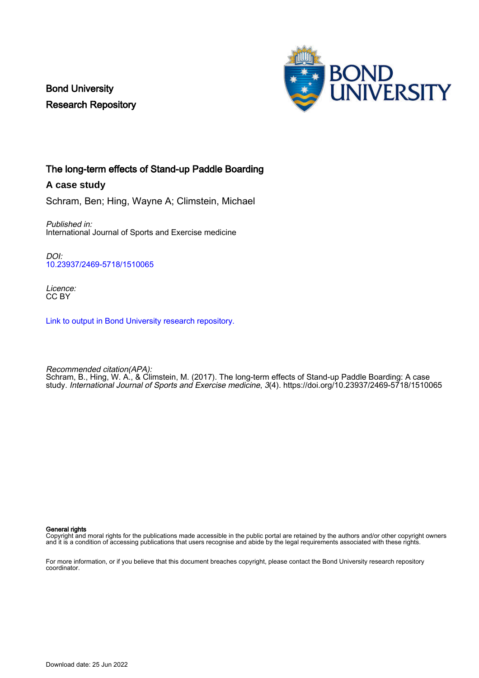Bond University Research Repository



## The long-term effects of Stand-up Paddle Boarding

**A case study**

Schram, Ben; Hing, Wayne A; Climstein, Michael

Published in: International Journal of Sports and Exercise medicine

DOI: [10.23937/2469-5718/1510065](https://doi.org/10.23937/2469-5718/1510065)

Licence: CC BY

[Link to output in Bond University research repository.](https://research.bond.edu.au/en/publications/34997fc5-d89f-4780-aa9d-3c8fca99ce38)

Recommended citation(APA): Schram, B., Hing, W. A., & Climstein, M. (2017). The long-term effects of Stand-up Paddle Boarding: A case study. International Journal of Sports and Exercise medicine, 3(4). <https://doi.org/10.23937/2469-5718/1510065>

#### General rights

Copyright and moral rights for the publications made accessible in the public portal are retained by the authors and/or other copyright owners and it is a condition of accessing publications that users recognise and abide by the legal requirements associated with these rights.

For more information, or if you believe that this document breaches copyright, please contact the Bond University research repository coordinator.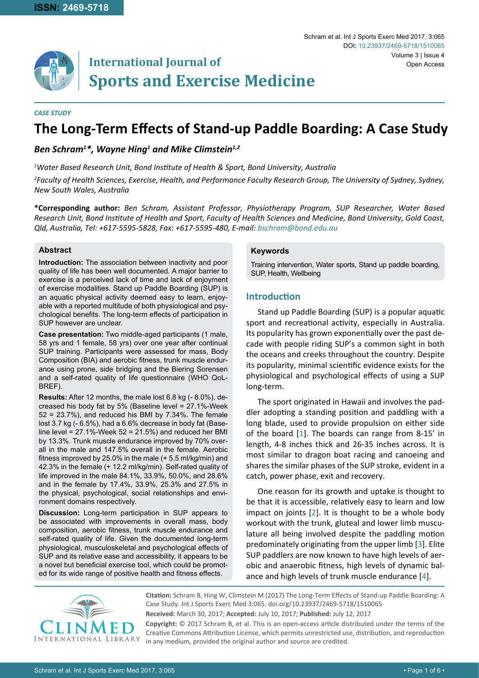

# **International Journal of Sports and Exercise Medicine**

#### *CASE STUDY*

# **The Long-Term Effects of Stand-up Paddle Boarding: A Case Study**

### *Ben Schram1 \*, Wayne Hing1 and Mike Climstein1,2*

*1 Water Based Research Unit, Bond Institute of Health & Sport, Bond University, Australia*

*2 Faculty of Health Sciences, Exercise, Health, and Performance Faculty Research Group, The University of Sydney, Sydney, New South Wales, Australia*

**\*Corresponding author:** *Ben Schram, Assistant Professor, Physiotherapy Program, SUP Researcher, Water Based Research Unit, Bond Institute of Health and Sport, Faculty of Health Sciences and Medicine, Bond University, Gold Coast, Qld, Australia, Tel: +617-5595-5828, Fax: +617-5595-480, E-mail: bschram@bond.edu.au*

#### **Abstract**

**Introduction:** The association between inactivity and poor quality of life has been well documented. A major barrier to exercise is a perceived lack of time and lack of enjoyment of exercise modalities. Stand up Paddle Boarding (SUP) is an aquatic physical activity deemed easy to learn, enjoyable with a reported multitude of both physiological and psychological benefits. The long-term effects of participation in SUP however are unclear.

**Case presentation:** Two middle-aged participants (1 male, 58 yrs and 1 female, 58 yrs) over one year after continual SUP training. Participants were assessed for mass, Body Composition (BIA) and aerobic fitness, trunk muscle endurance using prone, side bridging and the Biering Sorensen and a self-rated quality of life questionnaire (WHO QoL-BREF).

**Results:** After 12 months, the male lost 6.8 kg (- 8.0%), decreased his body fat by 5% (Baseline level = 27.1%-Week  $52 = 23.7\%$ ), and reduced his BMI by  $7.34\%$ . The female lost 3.7 kg (- 6.5%), had a 6.6% decrease in body fat (Baseline level = 27.1%-Week 52 = 21.5%) and reduced her BMI by 13.3%. Trunk muscle endurance improved by 70% overall in the male and 147.5% overall in the female. Aerobic fitness improved by 25.0% in the male (+ 5.5 ml/kg/min) and 42.3% in the female (+ 12.2 ml/kg/min). Self-rated quality of life improved in the male 84.1%, 33.9%, 50.0%, and 28.6% and in the female by 17.4%, 33.9%, 25.3% and 27.5% in the physical, psychological, social relationships and environment domains respectively.

**Discussion:** Long-term participation in SUP appears to be associated with improvements in overall mass, body composition, aerobic fitness, trunk muscle endurance and self-rated quality of life. Given the documented long-term physiological, musculoskeletal and psychological effects of SUP and its relative ease and accessibility, it appears to be a novel but beneficial exercise tool, which could be promoted for its wide range of positive health and fitness effects.

#### **Keywords**

Training intervention, Water sports, Stand up paddle boarding, SUP, Health, Wellbeing

#### **Introduction**

Stand up Paddle Boarding (SUP) is a popular aquatic sport and recreational activity, especially in Australia. Its popularity has grown exponentially over the past decade with people riding SUP's a common sight in both the oceans and creeks throughout the country. Despite its popularity, minimal scientific evidence exists for the physiological and psychological effects of using a SUP long-term.

The sport originated in Hawaii and involves the paddler adopting a standing position and paddling with a long blade, used to provide propulsion on either side of the board [[1](#page-5-0)]. The boards can range from 8-15' in length, 4-8 inches thick and 26-35 inches across. It is most similar to dragon boat racing and canoeing and shares the similar phases of the SUP stroke, evident in a catch, power phase, exit and recovery.

One reason for its growth and uptake is thought to be that it is accessible, relatively easy to learn and low impact on joints [[2](#page-5-1)]. It is thought to be a whole body workout with the trunk, gluteal and lower limb musculature all being involved despite the paddling motion predominately originating from the upper limb [\[3\]](#page-5-2). Elite SUP paddlers are now known to have high levels of aerobic and anaerobic fitness, high levels of dynamic balance and high levels of trunk muscle endurance [[4](#page-5-3)].



**Citation:** Schram B, Hing W, Climstein M (2017) The Long-Term Effects of Stand-up Paddle Boarding: A Case Study. Int J Sports Exerc Med 3:065. [doi.org/10.23937/2469-5718/15100](https://doi.org/10.23937/2469-5718/1510065)65 **Received:** March 30, 2017; **Accepted:** July 10, 2017; **Published:** July 12, 2017 **Copyright:** © 2017 Schram B, et al. This is an open-access article distributed under the terms of the Creative Commons Attribution License, which permits unrestricted use, distribution, and reproduction

in any medium, provided the original author and source are credited.

Schram et al. Int J Sports Exerc Med 2017, 3:065 **• Page 1 of 6 • Page 1 of 6 • Page 1 of 6 •** Page 1 of 6 • Page 1 of 6 • Page 1 of 6 • Page 1 of 6 • Page 1 of 6 • Page 1 of 6 • Page 1 of 6 • Page 1 of 6 • Page 1 of 6 • P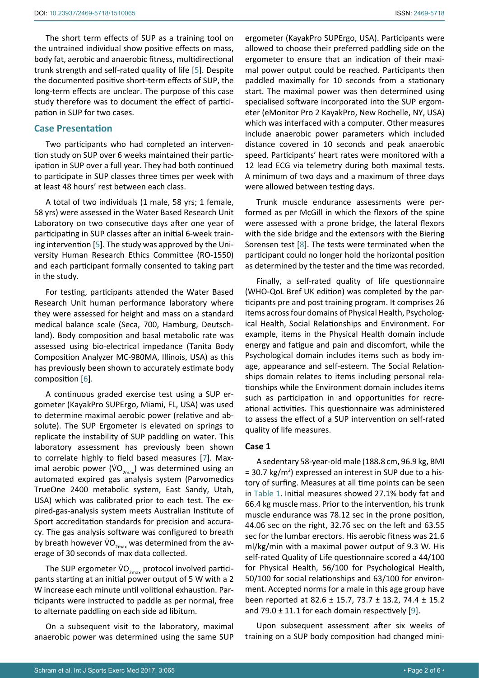The short term effects of SUP as a training tool on the untrained individual show positive effects on mass, body fat, aerobic and anaerobic fitness, multidirectional trunk strength and self-rated quality of life [[5](#page-5-4)]. Despite the documented positive short-term effects of SUP, the long-term effects are unclear. The purpose of this case study therefore was to document the effect of participation in SUP for two cases.

#### **Case Presentation**

Two participants who had completed an intervention study on SUP over 6 weeks maintained their participation in SUP over a full year. They had both continued to participate in SUP classes three times per week with at least 48 hours' rest between each class.

A total of two individuals (1 male, 58 yrs; 1 female, 58 yrs) were assessed in the Water Based Research Unit Laboratory on two consecutive days after one year of participating in SUP classes after an initial 6-week training intervention [[5](#page-5-4)]. The study was approved by the University Human Research Ethics Committee (RO-1550) and each participant formally consented to taking part in the study.

For testing, participants attended the Water Based Research Unit human performance laboratory where they were assessed for height and mass on a standard medical balance scale (Seca, 700, Hamburg, Deutschland). Body composition and basal metabolic rate was assessed using bio-electrical impedance (Tanita Body Composition Analyzer MC-980MA, Illinois, USA) as this has previously been shown to accurately estimate body composition [[6](#page-5-5)].

A continuous graded exercise test using a SUP ergometer (KayakPro SUPErgo, Miami, FL, USA) was used to determine maximal aerobic power (relative and absolute). The SUP Ergometer is elevated on springs to replicate the instability of SUP paddling on water. This laboratory assessment has previously been shown to correlate highly to field based measures [[7](#page-5-6)]. Maximal aerobic power (VO<sub>2max</sub>) was determined using an automated expired gas analysis system (Parvomedics TrueOne 2400 metabolic system, East Sandy, Utah, USA) which was calibrated prior to each test. The expired-gas-analysis system meets Australian Institute of Sport accreditation standards for precision and accuracy. The gas analysis software was configured to breath by breath however  $\dot{V}O_{2\text{max}}$  was determined from the average of 30 seconds of max data collected.

The SUP ergometer  $VO_{2\text{max}}$  protocol involved participants starting at an initial power output of 5 W with a 2 W increase each minute until volitional exhaustion. Participants were instructed to paddle as per normal, free to alternate paddling on each side ad libitum.

On a subsequent visit to the laboratory, maximal anaerobic power was determined using the same SUP

ergometer (KayakPro SUPErgo, USA). Participants were allowed to choose their preferred paddling side on the ergometer to ensure that an indication of their maximal power output could be reached. Participants then paddled maximally for 10 seconds from a stationary start. The maximal power was then determined using specialised software incorporated into the SUP ergometer (eMonitor Pro 2 KayakPro, New Rochelle, NY, USA) which was interfaced with a computer. Other measures include anaerobic power parameters which included distance covered in 10 seconds and peak anaerobic speed. Participants' heart rates were monitored with a 12 lead ECG via telemetry during both maximal tests. A minimum of two days and a maximum of three days were allowed between testing days.

Trunk muscle endurance assessments were performed as per McGill in which the flexors of the spine were assessed with a prone bridge, the lateral flexors with the side bridge and the extensors with the Biering Sorensen test [[8](#page-5-7)]. The tests were terminated when the participant could no longer hold the horizontal position as determined by the tester and the time was recorded.

Finally, a self-rated quality of life questionnaire (WHO-QoL Bref UK edition) was completed by the participants pre and post training program. It comprises 26 items across four domains of Physical Health, Psychological Health, Social Relationships and Environment. For example, items in the Physical Health domain include energy and fatigue and pain and discomfort, while the Psychological domain includes items such as body image, appearance and self-esteem. The Social Relationships domain relates to items including personal relationships while the Environment domain includes items such as participation in and opportunities for recreational activities. This questionnaire was administered to assess the effect of a SUP intervention on self-rated quality of life measures.

#### **Case 1**

A sedentary 58-year-old male (188.8 cm, 96.9 kg, BMI  $=$  30.7 kg/m<sup>2</sup>) expressed an interest in SUP due to a history of surfing. Measures at all time points can be seen in [Table 1.](#page-3-0) Initial measures showed 27.1% body fat and 66.4 kg muscle mass. Prior to the intervention, his trunk muscle endurance was 78.12 sec in the prone position, 44.06 sec on the right, 32.76 sec on the left and 63.55 sec for the lumbar erectors. His aerobic fitness was 21.6 ml/kg/min with a maximal power output of 9.3 W. His self-rated Quality of Life questionnaire scored a 44/100 for Physical Health, 56/100 for Psychological Health, 50/100 for social relationships and 63/100 for environment. Accepted norms for a male in this age group have been reported at 82.6 ± 15.7, 73.7 ± 13.2, 74.4 ± 15.2 and 79.0  $\pm$  11.1 for each domain respectively [[9\]](#page-5-8).

Upon subsequent assessment after six weeks of training on a SUP body composition had changed mini-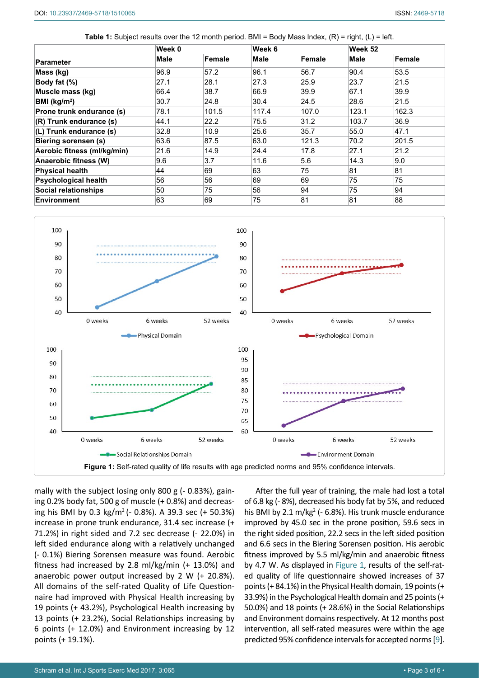<span id="page-3-0"></span>

|                             | Week 0 |        | Week 6 |        | Week 52 |        |
|-----------------------------|--------|--------|--------|--------|---------|--------|
| <b>Parameter</b>            | Male   | Female | Male   | Female | Male    | Female |
| Mass (kg)                   | 96.9   | 57.2   | 96.1   | 56.7   | 90.4    | 53.5   |
| Body fat (%)                | 27.1   | 28.1   | 27.3   | 25.9   | 23.7    | 21.5   |
| Muscle mass (kg)            | 66.4   | 38.7   | 66.9   | 39.9   | 67.1    | 39.9   |
| BMI (kg/m <sup>2</sup> )    | 30.7   | 24.8   | 30.4   | 24.5   | 28.6    | 21.5   |
| Prone trunk endurance (s)   | 78.1   | 101.5  | 117.4  | 107.0  | 123.1   | 162.3  |
| $(R)$ Trunk endurance $(s)$ | 44.1   | 22.2   | 75.5   | 31.2   | 103.7   | 36.9   |
| (L) Trunk endurance (s)     | 32.8   | 10.9   | 25.6   | 35.7   | 55.0    | 47.1   |
| Biering sorensen (s)        | 63.6   | 87.5   | 63.0   | 121.3  | 70.2    | 201.5  |
| Aerobic fitness (ml/kg/min) | 21.6   | 14.9   | 24.4   | 17.8   | 27.1    | 21.2   |
| Anaerobic fitness (W)       | 9.6    | 3.7    | 11.6   | 5.6    | 14.3    | 9.0    |
| <b>Physical health</b>      | 44     | 69     | 63     | 75     | 81      | 81     |
| <b>Psychological health</b> | 56     | 56     | 69     | 69     | 75      | 75     |
| <b>Social relationships</b> | 50     | 75     | 56     | 94     | 75      | 94     |
| <b>Environment</b>          | 63     | 69     | 75     | 81     | 81      | 88     |

<span id="page-3-1"></span>

mally with the subject losing only 800 g (- 0.83%), gaining 0.2% body fat, 500 g of muscle (+ 0.8%) and decreasing his BMI by 0.3 kg/m<sup>2</sup> (- 0.8%). A 39.3 sec (+ 50.3%) increase in prone trunk endurance, 31.4 sec increase (+ 71.2%) in right sided and 7.2 sec decrease (- 22.0%) in left sided endurance along with a relatively unchanged (- 0.1%) Biering Sorensen measure was found. Aerobic fitness had increased by 2.8 ml/kg/min (+ 13.0%) and anaerobic power output increased by 2 W (+ 20.8%). All domains of the self-rated Quality of Life Questionnaire had improved with Physical Health increasing by 19 points (+ 43.2%), Psychological Health increasing by 13 points (+ 23.2%), Social Relationships increasing by 6 points (+ 12.0%) and Environment increasing by 12 points (+ 19.1%).

After the full year of training, the male had lost a total of 6.8 kg (- 8%), decreased his body fat by 5%, and reduced his BMI by 2.1  $m/kg<sup>2</sup>$  (- 6.8%). His trunk muscle endurance improved by 45.0 sec in the prone position, 59.6 secs in the right sided position, 22.2 secs in the left sided position and 6.6 secs in the Biering Sorensen position. His aerobic fitness improved by 5.5 ml/kg/min and anaerobic fitness by 4.7 W. As displayed in [Figure 1](#page-3-1), results of the self-rated quality of life questionnaire showed increases of 37 points (+ 84.1%) in the Physical Health domain, 19 points (+ 33.9%) in the Psychological Health domain and 25 points (+ 50.0%) and 18 points (+ 28.6%) in the Social Relationships and Environment domains respectively. At 12 months post intervention, all self-rated measures were within the age predicted 95% confidence intervals for accepted norms [\[9\]](#page-5-8).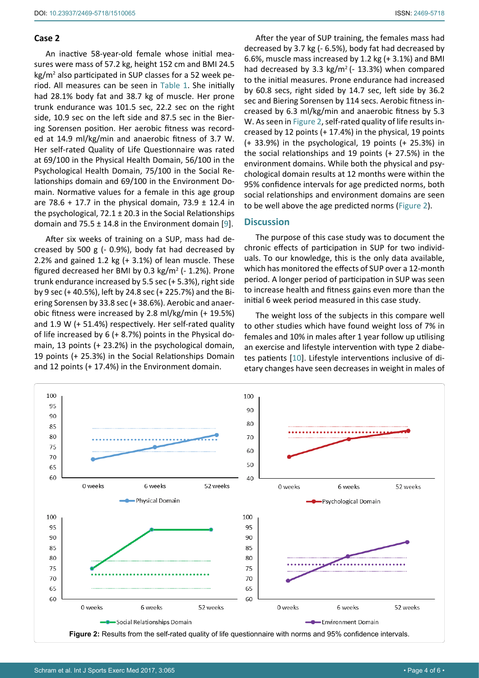#### **Case 2**

An inactive 58-year-old female whose initial measures were mass of 57.2 kg, height 152 cm and BMI 24.5 kg/m<sup>2</sup> also participated in SUP classes for a 52 week period. All measures can be seen in [Table 1](#page-3-0). She initially had 28.1% body fat and 38.7 kg of muscle. Her prone trunk endurance was 101.5 sec, 22.2 sec on the right side, 10.9 sec on the left side and 87.5 sec in the Biering Sorensen position. Her aerobic fitness was recorded at 14.9 ml/kg/min and anaerobic fitness of 3.7 W. Her self-rated Quality of Life Questionnaire was rated at 69/100 in the Physical Health Domain, 56/100 in the Psychological Health Domain, 75/100 in the Social Relationships domain and 69/100 in the Environment Domain. Normative values for a female in this age group are 78.6 + 17.7 in the physical domain, 73.9  $\pm$  12.4 in the psychological,  $72.1 \pm 20.3$  in the Social Relationships domain and  $75.5 \pm 14.8$  in the Environment domain [\[9](#page-5-8)].

After six weeks of training on a SUP, mass had decreased by 500 g (- 0.9%), body fat had decreased by 2.2% and gained 1.2 kg (+ 3.1%) of lean muscle. These figured decreased her BMI by 0.3 kg/m<sup>2</sup> (- 1.2%). Prone trunk endurance increased by 5.5 sec (+ 5.3%), right side by 9 sec (+ 40.5%), left by 24.8 sec (+ 225.7%) and the Biering Sorensen by 33.8 sec (+ 38.6%). Aerobic and anaerobic fitness were increased by 2.8 ml/kg/min (+ 19.5%) and 1.9 W (+ 51.4%) respectively. Her self-rated quality of life increased by 6 (+ 8.7%) points in the Physical domain, 13 points (+ 23.2%) in the psychological domain, 19 points (+ 25.3%) in the Social Relationships Domain and 12 points (+ 17.4%) in the Environment domain.

After the year of SUP training, the females mass had decreased by 3.7 kg (- 6.5%), body fat had decreased by 6.6%, muscle mass increased by 1.2 kg (+ 3.1%) and BMI had decreased by 3.3 kg/m<sup>2</sup> ( $-$  13.3%) when compared to the initial measures. Prone endurance had increased by 60.8 secs, right sided by 14.7 sec, left side by 36.2 sec and Biering Sorensen by 114 secs. Aerobic fitness increased by 6.3 ml/kg/min and anaerobic fitness by 5.3 W. As seen in [Figure 2,](#page-4-0) self-rated quality of life results increased by 12 points (+ 17.4%) in the physical, 19 points (+ 33.9%) in the psychological, 19 points (+ 25.3%) in the social relationships and 19 points (+ 27.5%) in the environment domains. While both the physical and psychological domain results at 12 months were within the 95% confidence intervals for age predicted norms, both social relationships and environment domains are seen to be well above the age predicted norms ([Figure 2\)](#page-4-0).

#### **Discussion**

The purpose of this case study was to document the chronic effects of participation in SUP for two individuals. To our knowledge, this is the only data available, which has monitored the effects of SUP over a 12-month period. A longer period of participation in SUP was seen to increase health and fitness gains even more than the initial 6 week period measured in this case study.

The weight loss of the subjects in this compare well to other studies which have found weight loss of 7% in females and 10% in males after 1 year follow up utilising an exercise and lifestyle intervention with type 2 diabetes patients [[10](#page-5-9)]. Lifestyle interventions inclusive of dietary changes have seen decreases in weight in males of

<span id="page-4-0"></span>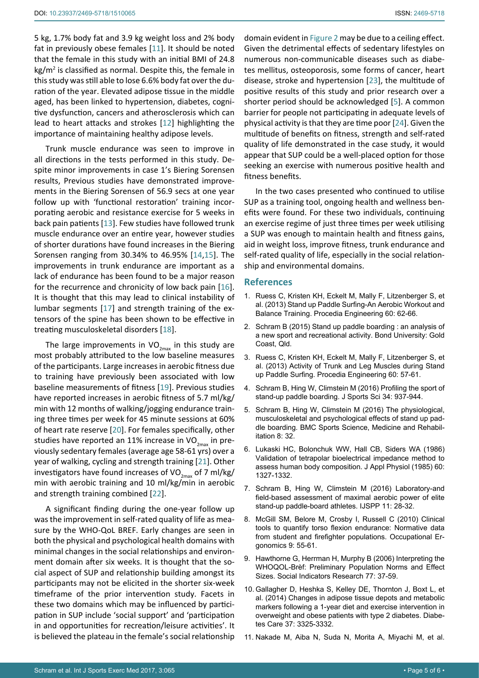5 kg, 1.7% body fat and 3.9 kg weight loss and 2% body fat in previously obese females [[11](#page-5-10)]. It should be noted that the female in this study with an initial BMI of 24.8 kg/m<sup>2</sup> is classified as normal. Despite this, the female in this study was still able to lose 6.6% body fat over the duration of the year. Elevated adipose tissue in the middle aged, has been linked to hypertension, diabetes, cognitive dysfunction, cancers and atherosclerosis which can lead to heart attacks and strokes [[12](#page-6-2)] highlighting the importance of maintaining healthy adipose levels.

Trunk muscle endurance was seen to improve in all directions in the tests performed in this study. Despite minor improvements in case 1's Biering Sorensen results, Previous studies have demonstrated improvements in the Biering Sorensen of 56.9 secs at one year follow up with 'functional restoration' training incorporating aerobic and resistance exercise for 5 weeks in back pain patients [[13\]](#page-6-3). Few studies have followed trunk muscle endurance over an entire year, however studies of shorter durations have found increases in the Biering Sorensen ranging from 30.34% to 46.95% [\[14](#page-6-4),[15](#page-6-5)]. The improvements in trunk endurance are important as a lack of endurance has been found to be a major reason for the recurrence and chronicity of low back pain [\[16](#page-6-6)]. It is thought that this may lead to clinical instability of lumbar segments [[17](#page-6-7)] and strength training of the extensors of the spine has been shown to be effective in treating musculoskeletal disorders [\[18](#page-6-8)].

The large improvements in  $VO_{2max}$  in this study are most probably attributed to the low baseline measures of the participants. Large increases in aerobic fitness due to training have previously been associated with low baseline measurements of fitness [[19](#page-6-9)]. Previous studies have reported increases in aerobic fitness of 5.7 ml/kg/ min with 12 months of walking/jogging endurance training three times per week for 45 minute sessions at 60% of heart rate reserve [[20](#page-6-10)]. For females specifically, other studies have reported an 11% increase in  $VO_{2\text{max}}$  in previously sedentary females (average age 58-61 yrs) over a year of walking, cycling and strength training [[21](#page-6-11)]. Other investigators have found increases of VO<sub>2max</sub> of 7 ml/kg/ min with aerobic training and 10 ml/kg/min in aerobic and strength training combined [[22](#page-6-12)].

A significant finding during the one-year follow up was the improvement in self-rated quality of life as measure by the WHO-QoL BREF. Early changes are seen in both the physical and psychological health domains with minimal changes in the social relationships and environment domain after six weeks. It is thought that the social aspect of SUP and relationship building amongst its participants may not be elicited in the shorter six-week timeframe of the prior intervention study. Facets in these two domains which may be influenced by participation in SUP include 'social support' and 'participation in and opportunities for recreation/leisure activities'. It is believed the plateau in the female's social relationship

domain evident in [Figure 2](#page-4-0) may be due to a ceiling effect. Given the detrimental effects of sedentary lifestyles on numerous non-communicable diseases such as diabetes mellitus, osteoporosis, some forms of cancer, heart disease, stroke and hypertension [[23\]](#page-6-0), the multitude of positive results of this study and prior research over a shorter period should be acknowledged [\[5\]](#page-5-4). A common barrier for people not participating in adequate levels of physical activity is that they are time poor [\[24](#page-6-1)]. Given the multitude of benefits on fitness, strength and self-rated quality of life demonstrated in the case study, it would appear that SUP could be a well-placed option for those seeking an exercise with numerous positive health and fitness benefits.

In the two cases presented who continued to utilise SUP as a training tool, ongoing health and wellness benefits were found. For these two individuals, continuing an exercise regime of just three times per week utilising a SUP was enough to maintain health and fitness gains, aid in weight loss, improve fitness, trunk endurance and self-rated quality of life, especially in the social relationship and environmental domains.

#### **References**

- <span id="page-5-0"></span>1. [Ruess C, Kristen KH, Eckelt M, Mally F, Litzenberger S, et](http://www.sciencedirect.com/science/article/pii/S1877705813010837)  [al. \(2013\) Stand up Paddle Surfing-An Aerobic Workout and](http://www.sciencedirect.com/science/article/pii/S1877705813010837)  [Balance Training. Procedia Engineering 60: 62-66.](http://www.sciencedirect.com/science/article/pii/S1877705813010837)
- <span id="page-5-1"></span>2. [Schram B \(2015\) Stand up paddle boarding : an analysis of](http://epublications.bond.edu.au/cgi/viewcontent.cgi?article=1182&context=theses)  [a new sport and recreational activity. Bond University: Gold](http://epublications.bond.edu.au/cgi/viewcontent.cgi?article=1182&context=theses)  [Coast, Qld.](http://epublications.bond.edu.au/cgi/viewcontent.cgi?article=1182&context=theses)
- <span id="page-5-2"></span>3. [Ruess C, Kristen KH, Eckelt M, Mally F, Litzenberger S, et](http://www.sciencedirect.com/science/article/pii/S1877705813010825)  [al. \(2013\) Activity of Trunk and Leg Muscles during Stand](http://www.sciencedirect.com/science/article/pii/S1877705813010825)  [up Paddle Surfing. Procedia Engineering 60: 57-61.](http://www.sciencedirect.com/science/article/pii/S1877705813010825)
- <span id="page-5-3"></span>4. [Schram B, Hing W, Climstein M \(2016\) Profiling the sport of](http://www.ncbi.nlm.nih.gov/pubmed/26289320)  [stand-up paddle boarding.](http://www.ncbi.nlm.nih.gov/pubmed/26289320) J Sports Sci 34: 937-944.
- <span id="page-5-4"></span>5. [Schram B, Hing W, Climstein M \(2016\) The physiological,](https://bmcsportsscimedrehabil.biomedcentral.com/articles/10.1186/s13102-016-0057-6)  [musculoskeletal and psychological effects of stand up pad](https://bmcsportsscimedrehabil.biomedcentral.com/articles/10.1186/s13102-016-0057-6)[dle boarding. BMC Sports Science, Medicine and Rehabil](https://bmcsportsscimedrehabil.biomedcentral.com/articles/10.1186/s13102-016-0057-6)[itation 8: 32.](https://bmcsportsscimedrehabil.biomedcentral.com/articles/10.1186/s13102-016-0057-6)
- <span id="page-5-5"></span>6. [Lukaski HC, Bolonchuk WW, Hall CB, Siders WA \(1986\)](http://www.ncbi.nlm.nih.gov/pubmed/3700310)  [Validation of tetrapolar bioelectrical impedance method to](http://www.ncbi.nlm.nih.gov/pubmed/3700310)  [assess human body composition.](http://www.ncbi.nlm.nih.gov/pubmed/3700310) J Appl Physiol (1985) 60: [1327-1332.](http://www.ncbi.nlm.nih.gov/pubmed/3700310)
- <span id="page-5-6"></span>7. [Schram B, Hing W, Climstein M \(2016\) Laboratory-and](http://journals.humankinetics.com/doi/abs/10.1123/ijspp.2015-0076)  [field-based assessment of maximal aerobic power of elite](http://journals.humankinetics.com/doi/abs/10.1123/ijspp.2015-0076)  [stand-up paddle-board athletes. IJSPP 11: 28-32.](http://journals.humankinetics.com/doi/abs/10.1123/ijspp.2015-0076)
- <span id="page-5-7"></span>8. [McGill SM, Belore M, Crosby I, Russell C \(2010\) Clinical](file:///E:/Clinmed/TSP/TSP%20Articles/tspar/Volume%201/Vol%201.2/tspar_Ai/Clinical tools to quantify torso flexion endurance: Normative data from student%20and firefighter populations)  [tools to quantify torso flexion endurance: Normative data](file:///E:/Clinmed/TSP/TSP%20Articles/tspar/Volume%201/Vol%201.2/tspar_Ai/Clinical tools to quantify torso flexion endurance: Normative data from student%20and firefighter populations)  [from student and firefighter populations. Occupational Er](file:///E:/Clinmed/TSP/TSP%20Articles/tspar/Volume%201/Vol%201.2/tspar_Ai/Clinical tools to quantify torso flexion endurance: Normative data from student%20and firefighter populations)[gonomics 9: 55-61.](file:///E:/Clinmed/TSP/TSP%20Articles/tspar/Volume%201/Vol%201.2/tspar_Ai/Clinical tools to quantify torso flexion endurance: Normative data from student%20and firefighter populations)
- <span id="page-5-8"></span>9. [Hawthorne G, Herrman H, Murphy B \(2006\) Interpreting the](https://link.springer.com/article/10.1007/s11205-005-5552-1)  [WHOQOL-Brèf: Preliminary Population Norms and Effect](https://link.springer.com/article/10.1007/s11205-005-5552-1)  [Sizes. Social Indicators Research 77: 37-59.](https://link.springer.com/article/10.1007/s11205-005-5552-1)
- <span id="page-5-9"></span>10. [Gallagher D, Heshka S, Kelley DE, Thornton J, Boxt L, et](http://www.ncbi.nlm.nih.gov/pubmed/25336745)  [al. \(2014\) Changes in adipose tissue depots and metabolic](http://www.ncbi.nlm.nih.gov/pubmed/25336745)  [markers following a 1-year diet and exercise intervention in](http://www.ncbi.nlm.nih.gov/pubmed/25336745)  [overweight and obese patients with type 2 diabetes.](http://www.ncbi.nlm.nih.gov/pubmed/25336745) Diabetes Care [37: 3325-3332.](http://www.ncbi.nlm.nih.gov/pubmed/25336745)
- <span id="page-5-10"></span>11. [Nakade M, Aiba N, Suda N, Morita A, Miyachi M, et al.](http://www.ncbi.nlm.nih.gov/pubmed/22374557)